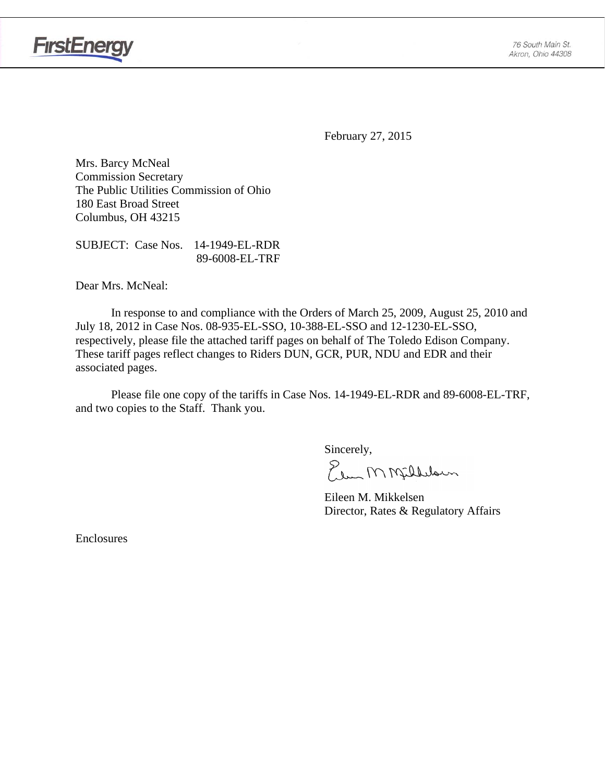

**FirstEnergy** 

February 27, 2015

Mrs. Barcy McNeal Commission Secretary The Public Utilities Commission of Ohio 180 East Broad Street Columbus, OH 43215

SUBJECT: Case Nos. 14-1949-EL-RDR 89-6008-EL-TRF

Dear Mrs. McNeal:

 In response to and compliance with the Orders of March 25, 2009, August 25, 2010 and July 18, 2012 in Case Nos. 08-935-EL-SSO, 10-388-EL-SSO and 12-1230-EL-SSO, respectively, please file the attached tariff pages on behalf of The Toledo Edison Company. These tariff pages reflect changes to Riders DUN, GCR, PUR, NDU and EDR and their associated pages.

Please file one copy of the tariffs in Case Nos. 14-1949-EL-RDR and 89-6008-EL-TRF, and two copies to the Staff. Thank you.

Sincerely,

Elem M Milleloun

 Eileen M. Mikkelsen Director, Rates & Regulatory Affairs

Enclosures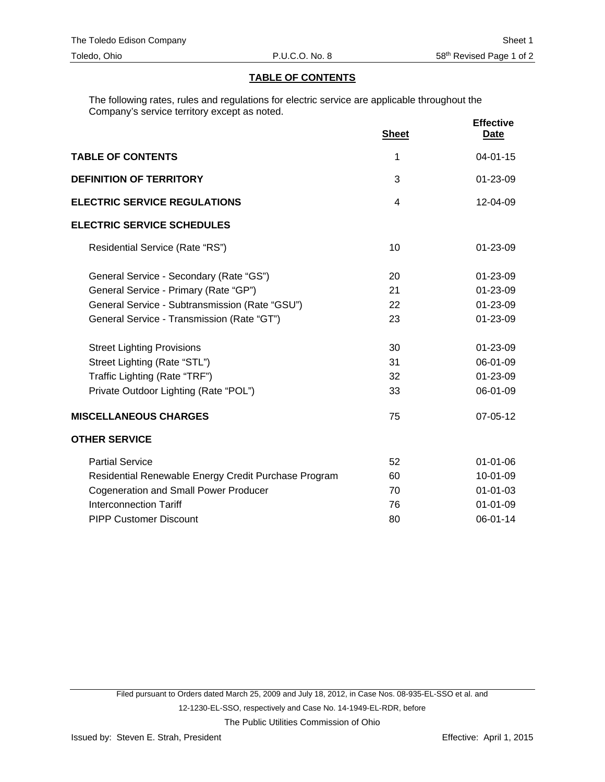# **TABLE OF CONTENTS**

The following rates, rules and regulations for electric service are applicable throughout the Company's service territory except as noted.

|                                                      | <b>Sheet</b> | <b>Effective</b><br>Date |
|------------------------------------------------------|--------------|--------------------------|
| <b>TABLE OF CONTENTS</b>                             | 1            | $04 - 01 - 15$           |
| <b>DEFINITION OF TERRITORY</b>                       | 3            | $01 - 23 - 09$           |
| <b>ELECTRIC SERVICE REGULATIONS</b>                  | 4            | 12-04-09                 |
| <b>ELECTRIC SERVICE SCHEDULES</b>                    |              |                          |
| Residential Service (Rate "RS")                      | 10           | $01 - 23 - 09$           |
| General Service - Secondary (Rate "GS")              | 20           | 01-23-09                 |
| General Service - Primary (Rate "GP")                | 21           | 01-23-09                 |
| General Service - Subtransmission (Rate "GSU")       | 22           | 01-23-09                 |
| General Service - Transmission (Rate "GT")           | 23           | 01-23-09                 |
| <b>Street Lighting Provisions</b>                    | 30           | 01-23-09                 |
| Street Lighting (Rate "STL")                         | 31           | 06-01-09                 |
| Traffic Lighting (Rate "TRF")                        | 32           | 01-23-09                 |
| Private Outdoor Lighting (Rate "POL")                | 33           | 06-01-09                 |
| <b>MISCELLANEOUS CHARGES</b>                         | 75           | 07-05-12                 |
| <b>OTHER SERVICE</b>                                 |              |                          |
| <b>Partial Service</b>                               | 52           | 01-01-06                 |
| Residential Renewable Energy Credit Purchase Program | 60           | 10-01-09                 |
| <b>Cogeneration and Small Power Producer</b>         | 70           | $01 - 01 - 03$           |
| <b>Interconnection Tariff</b>                        | 76           | $01 - 01 - 09$           |
| <b>PIPP Customer Discount</b>                        | 80           | 06-01-14                 |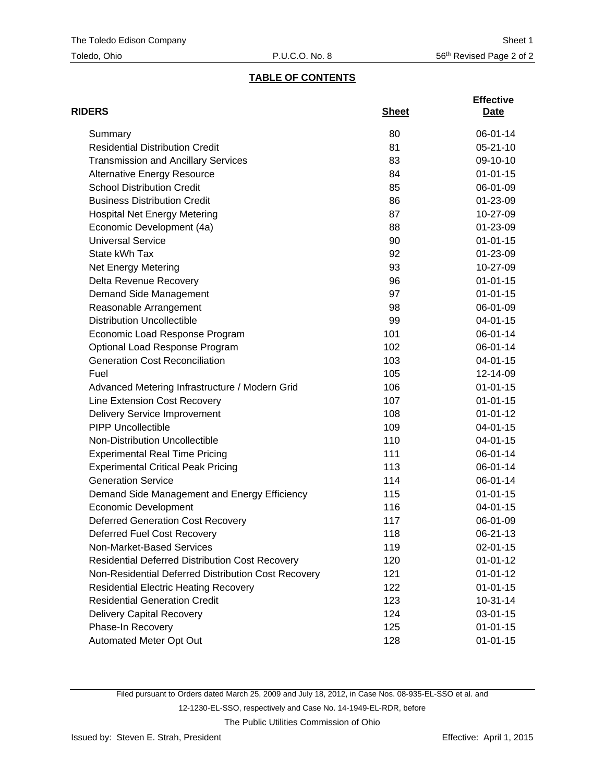# **TABLE OF CONTENTS**

| <b>RIDERS</b>                                          | <b>Sheet</b> | <b>Effective</b><br>Date |
|--------------------------------------------------------|--------------|--------------------------|
| Summary                                                | 80           | 06-01-14                 |
| <b>Residential Distribution Credit</b>                 | 81           | $05 - 21 - 10$           |
| <b>Transmission and Ancillary Services</b>             | 83           | 09-10-10                 |
| <b>Alternative Energy Resource</b>                     | 84           | $01 - 01 - 15$           |
| <b>School Distribution Credit</b>                      | 85           | 06-01-09                 |
| <b>Business Distribution Credit</b>                    | 86           | 01-23-09                 |
| <b>Hospital Net Energy Metering</b>                    | 87           | 10-27-09                 |
| Economic Development (4a)                              | 88           | 01-23-09                 |
| <b>Universal Service</b>                               | 90           | $01 - 01 - 15$           |
| State kWh Tax                                          | 92           | 01-23-09                 |
| Net Energy Metering                                    | 93           | 10-27-09                 |
| Delta Revenue Recovery                                 | 96           | $01 - 01 - 15$           |
| Demand Side Management                                 | 97           | $01 - 01 - 15$           |
| Reasonable Arrangement                                 | 98           | 06-01-09                 |
| <b>Distribution Uncollectible</b>                      | 99           | $04 - 01 - 15$           |
| Economic Load Response Program                         | 101          | 06-01-14                 |
| Optional Load Response Program                         | 102          | 06-01-14                 |
| <b>Generation Cost Reconciliation</b>                  | 103          | $04 - 01 - 15$           |
| Fuel                                                   | 105          | 12-14-09                 |
| Advanced Metering Infrastructure / Modern Grid         | 106          | $01 - 01 - 15$           |
| Line Extension Cost Recovery                           | 107          | $01 - 01 - 15$           |
| <b>Delivery Service Improvement</b>                    | 108          | $01 - 01 - 12$           |
| <b>PIPP Uncollectible</b>                              | 109          | 04-01-15                 |
| Non-Distribution Uncollectible                         | 110          | 04-01-15                 |
| <b>Experimental Real Time Pricing</b>                  | 111          | 06-01-14                 |
| <b>Experimental Critical Peak Pricing</b>              | 113          | 06-01-14                 |
| <b>Generation Service</b>                              | 114          | 06-01-14                 |
| Demand Side Management and Energy Efficiency           | 115          | $01 - 01 - 15$           |
| <b>Economic Development</b>                            | 116          | 04-01-15                 |
| <b>Deferred Generation Cost Recovery</b>               | 117          | 06-01-09                 |
| Deferred Fuel Cost Recovery                            | 118          | 06-21-13                 |
| Non-Market-Based Services                              | 119          | $02 - 01 - 15$           |
| <b>Residential Deferred Distribution Cost Recovery</b> | 120          | $01 - 01 - 12$           |
| Non-Residential Deferred Distribution Cost Recovery    | 121          | $01 - 01 - 12$           |
| <b>Residential Electric Heating Recovery</b>           | 122          | $01 - 01 - 15$           |
| <b>Residential Generation Credit</b>                   | 123          | $10-31-14$               |
| <b>Delivery Capital Recovery</b>                       | 124          | 03-01-15                 |
| Phase-In Recovery                                      | 125          | $01 - 01 - 15$           |
| Automated Meter Opt Out                                | 128          | $01 - 01 - 15$           |

Filed pursuant to Orders dated March 25, 2009 and July 18, 2012, in Case Nos. 08-935-EL-SSO et al. and 12-1230-EL-SSO, respectively and Case No. 14-1949-EL-RDR, before The Public Utilities Commission of Ohio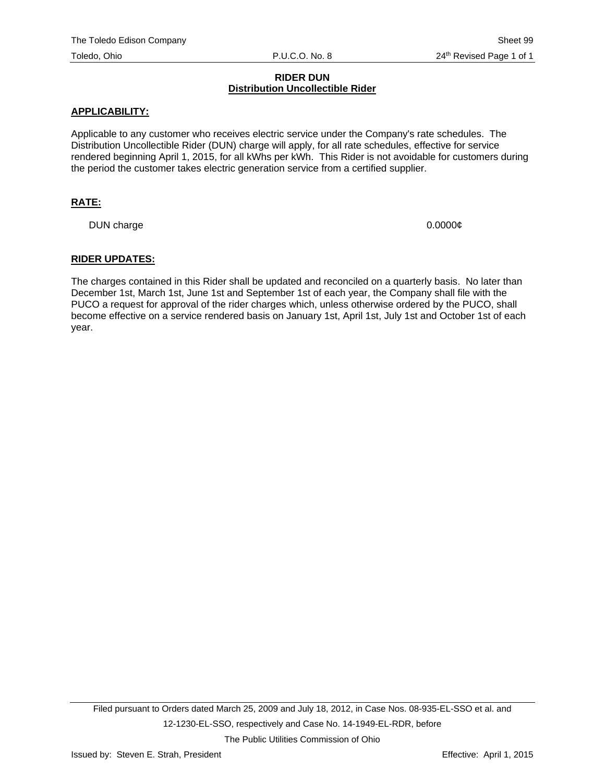#### **RIDER DUN Distribution Uncollectible Rider**

#### **APPLICABILITY:**

Applicable to any customer who receives electric service under the Company's rate schedules. The Distribution Uncollectible Rider (DUN) charge will apply, for all rate schedules, effective for service rendered beginning April 1, 2015, for all kWhs per kWh. This Rider is not avoidable for customers during the period the customer takes electric generation service from a certified supplier.

# **RATE:**

DUN charge 0.0000 $\phi$ 

#### **RIDER UPDATES:**

The charges contained in this Rider shall be updated and reconciled on a quarterly basis. No later than December 1st, March 1st, June 1st and September 1st of each year, the Company shall file with the PUCO a request for approval of the rider charges which, unless otherwise ordered by the PUCO, shall become effective on a service rendered basis on January 1st, April 1st, July 1st and October 1st of each year.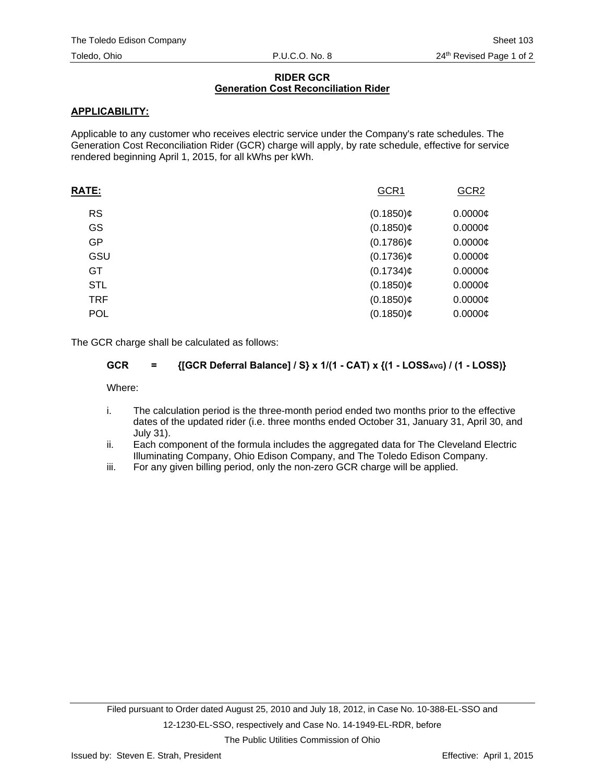# **RIDER GCR Generation Cost Reconciliation Rider**

# **APPLICABILITY:**

Applicable to any customer who receives electric service under the Company's rate schedules. The Generation Cost Reconciliation Rider (GCR) charge will apply, by rate schedule, effective for service rendered beginning April 1, 2015, for all kWhs per kWh.

| <b>RATE:</b> | GCR1         | GCR <sub>2</sub> |
|--------------|--------------|------------------|
| <b>RS</b>    | $(0.1850)$ ¢ | $0.0000$ ¢       |
| GS           | $(0.1850)$ ¢ | $0.0000$ ¢       |
| GP           | $(0.1786)$ ¢ | $0.0000$ ¢       |
| GSU          | $(0.1736)$ ¢ | $0.0000$ ¢       |
| GT           | $(0.1734)$ ¢ | $0.0000$ ¢       |
| <b>STL</b>   | $(0.1850)$ ¢ | $0.0000$ ¢       |
| <b>TRF</b>   | $(0.1850)$ ¢ | $0.0000$ ¢       |
| <b>POL</b>   | $(0.1850)$ ¢ | $0.0000$ ¢       |
|              |              |                  |

The GCR charge shall be calculated as follows:

# GCR = {[GCR Deferral Balance] / S} x 1/(1 - CAT) x {(1 - LOSS<sub>AVG</sub>) / (1 - LOSS)}

Where:

- i. The calculation period is the three-month period ended two months prior to the effective dates of the updated rider (i.e. three months ended October 31, January 31, April 30, and July 31).
- ii. Each component of the formula includes the aggregated data for The Cleveland Electric Illuminating Company, Ohio Edison Company, and The Toledo Edison Company.
- iii. For any given billing period, only the non-zero GCR charge will be applied.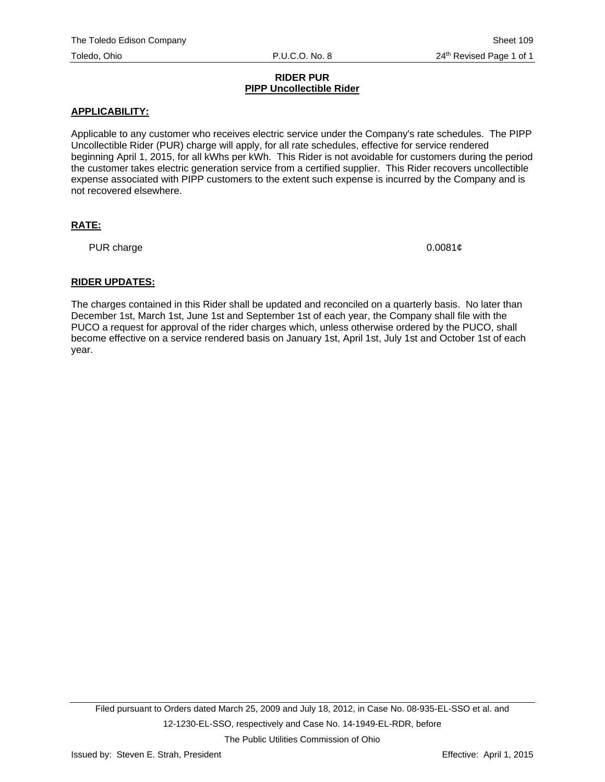#### **RIDER PUR PIPP Uncollectible Rider**

# **APPLICABILITY:**

Applicable to any customer who receives electric service under the Company's rate schedules. The PIPP Uncollectible Rider (PUR) charge will apply, for all rate schedules, effective for service rendered beginning April 1, 2015, for all kWhs per kWh. This Rider is not avoidable for customers during the period the customer takes electric generation service from a certified supplier. This Rider recovers uncollectible expense associated with PIPP customers to the extent such expense is incurred by the Company and is not recovered elsewhere.

# **RATE:**

PUR charge  $0.0081¢$ 

# **RIDER UPDATES:**

The charges contained in this Rider shall be updated and reconciled on a quarterly basis. No later than December 1st, March 1st, June 1st and September 1st of each year, the Company shall file with the PUCO a request for approval of the rider charges which, unless otherwise ordered by the PUCO, shall become effective on a service rendered basis on January 1st, April 1st, July 1st and October 1st of each year.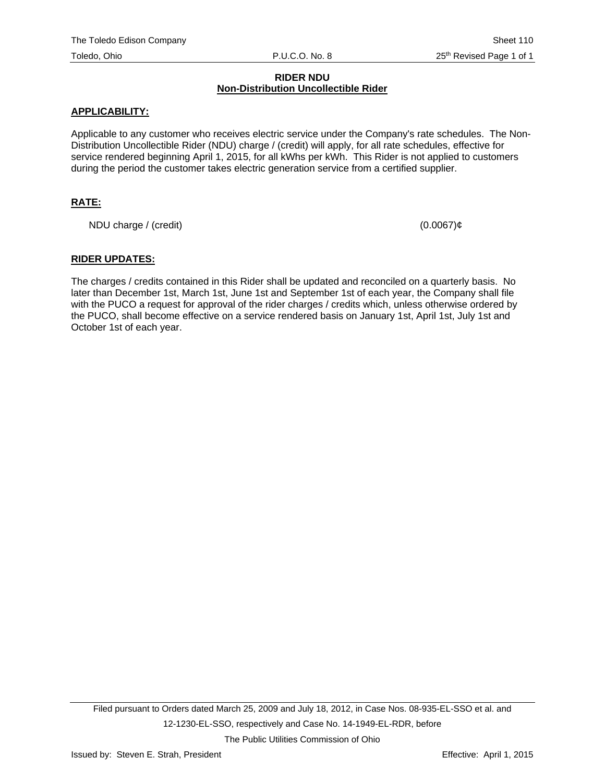#### **RIDER NDU Non-Distribution Uncollectible Rider**

#### **APPLICABILITY:**

Applicable to any customer who receives electric service under the Company's rate schedules. The Non-Distribution Uncollectible Rider (NDU) charge / (credit) will apply, for all rate schedules, effective for service rendered beginning April 1, 2015, for all kWhs per kWh. This Rider is not applied to customers during the period the customer takes electric generation service from a certified supplier.

# **RATE:**

NDU charge / (credit)  $(0.0067)\varrho$ 

#### **RIDER UPDATES:**

The charges / credits contained in this Rider shall be updated and reconciled on a quarterly basis. No later than December 1st, March 1st, June 1st and September 1st of each year, the Company shall file with the PUCO a request for approval of the rider charges / credits which, unless otherwise ordered by the PUCO, shall become effective on a service rendered basis on January 1st, April 1st, July 1st and October 1st of each year.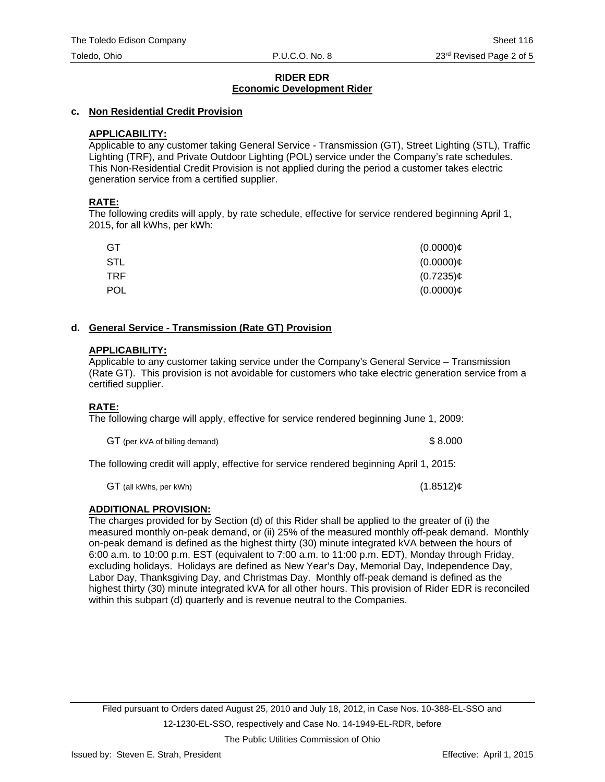# **c. Non Residential Credit Provision**

# **APPLICABILITY:**

Applicable to any customer taking General Service - Transmission (GT), Street Lighting (STL), Traffic Lighting (TRF), and Private Outdoor Lighting (POL) service under the Company's rate schedules. This Non-Residential Credit Provision is not applied during the period a customer takes electric generation service from a certified supplier.

# **RATE:**

The following credits will apply, by rate schedule, effective for service rendered beginning April 1, 2015, for all kWhs, per kWh:

| GT  | $(0.0000)$ ¢ |
|-----|--------------|
| STL | $(0.0000)$ ¢ |
| TRF | $(0.7235)$ ¢ |
| POL | $(0.0000)$ ¢ |

#### **d. General Service - Transmission (Rate GT) Provision**

#### **APPLICABILITY:**

Applicable to any customer taking service under the Company's General Service – Transmission (Rate GT). This provision is not avoidable for customers who take electric generation service from a certified supplier.

# **RATE:**

The following charge will apply, effective for service rendered beginning June 1, 2009:

GT (per kVA of billing demand)  $$8.000$ 

The following credit will apply, effective for service rendered beginning April 1, 2015:

 $GT$  (all kWhs, per kWh) (1.8512) $\phi$ 

# **ADDITIONAL PROVISION:**

The charges provided for by Section (d) of this Rider shall be applied to the greater of (i) the measured monthly on-peak demand, or (ii) 25% of the measured monthly off-peak demand. Monthly on-peak demand is defined as the highest thirty (30) minute integrated kVA between the hours of 6:00 a.m. to 10:00 p.m. EST (equivalent to 7:00 a.m. to 11:00 p.m. EDT), Monday through Friday, excluding holidays. Holidays are defined as New Year's Day, Memorial Day, Independence Day, Labor Day, Thanksgiving Day, and Christmas Day. Monthly off-peak demand is defined as the highest thirty (30) minute integrated kVA for all other hours. This provision of Rider EDR is reconciled within this subpart (d) quarterly and is revenue neutral to the Companies.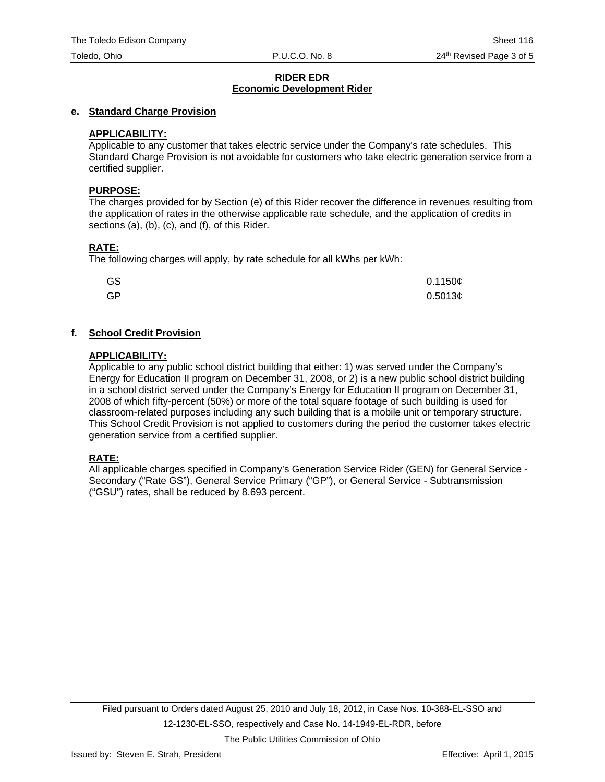#### **e. Standard Charge Provision**

#### **APPLICABILITY:**

Applicable to any customer that takes electric service under the Company's rate schedules. This Standard Charge Provision is not avoidable for customers who take electric generation service from a certified supplier.

#### **PURPOSE:**

The charges provided for by Section (e) of this Rider recover the difference in revenues resulting from the application of rates in the otherwise applicable rate schedule, and the application of credits in sections (a), (b), (c), and (f), of this Rider.

# **RATE:**

The following charges will apply, by rate schedule for all kWhs per kWh:

| GS | 0.1150c |
|----|---------|
| GP | 0.5013¢ |

# **f. School Credit Provision**

#### **APPLICABILITY:**

Applicable to any public school district building that either: 1) was served under the Company's Energy for Education II program on December 31, 2008, or 2) is a new public school district building in a school district served under the Company's Energy for Education II program on December 31, 2008 of which fifty-percent (50%) or more of the total square footage of such building is used for classroom-related purposes including any such building that is a mobile unit or temporary structure. This School Credit Provision is not applied to customers during the period the customer takes electric generation service from a certified supplier.

# **RATE:**

All applicable charges specified in Company's Generation Service Rider (GEN) for General Service - Secondary ("Rate GS"), General Service Primary ("GP"), or General Service - Subtransmission ("GSU") rates, shall be reduced by 8.693 percent.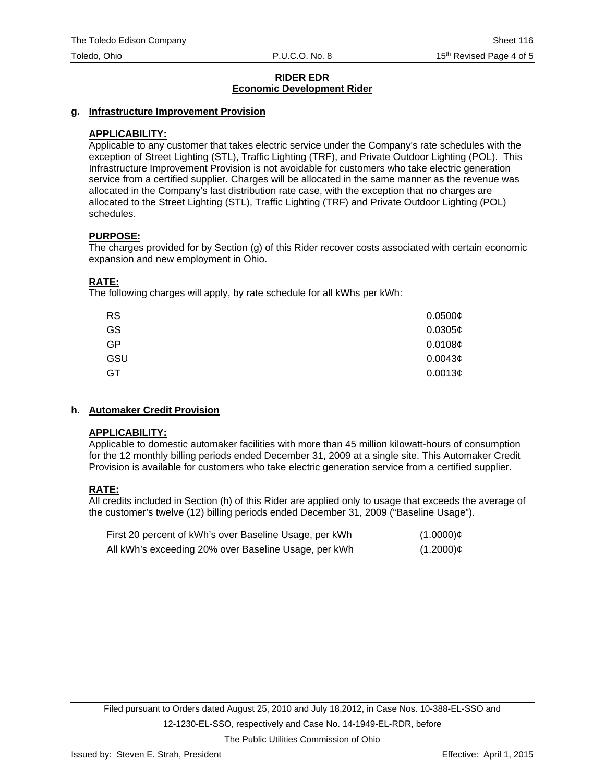#### **g. Infrastructure Improvement Provision**

#### **APPLICABILITY:**

Applicable to any customer that takes electric service under the Company's rate schedules with the exception of Street Lighting (STL), Traffic Lighting (TRF), and Private Outdoor Lighting (POL). This Infrastructure Improvement Provision is not avoidable for customers who take electric generation service from a certified supplier. Charges will be allocated in the same manner as the revenue was allocated in the Company's last distribution rate case, with the exception that no charges are allocated to the Street Lighting (STL), Traffic Lighting (TRF) and Private Outdoor Lighting (POL) schedules.

#### **PURPOSE:**

The charges provided for by Section (g) of this Rider recover costs associated with certain economic expansion and new employment in Ohio.

#### **RATE:**

The following charges will apply, by rate schedule for all kWhs per kWh:

| <b>RS</b> | 0.0500¢             |
|-----------|---------------------|
| GS        | 0.0305c             |
| GP        | 0.0108c             |
| GSU       | 0.0043 <sub>¢</sub> |
| GT        | 0.0013¢             |

#### **h. Automaker Credit Provision**

#### **APPLICABILITY:**

Applicable to domestic automaker facilities with more than 45 million kilowatt-hours of consumption for the 12 monthly billing periods ended December 31, 2009 at a single site. This Automaker Credit Provision is available for customers who take electric generation service from a certified supplier.

# **RATE:**

All credits included in Section (h) of this Rider are applied only to usage that exceeds the average of the customer's twelve (12) billing periods ended December 31, 2009 ("Baseline Usage").

| First 20 percent of kWh's over Baseline Usage, per kWh | $(1.0000)$ ¢ |
|--------------------------------------------------------|--------------|
| All kWh's exceeding 20% over Baseline Usage, per kWh   | $(1.2000)$ ¢ |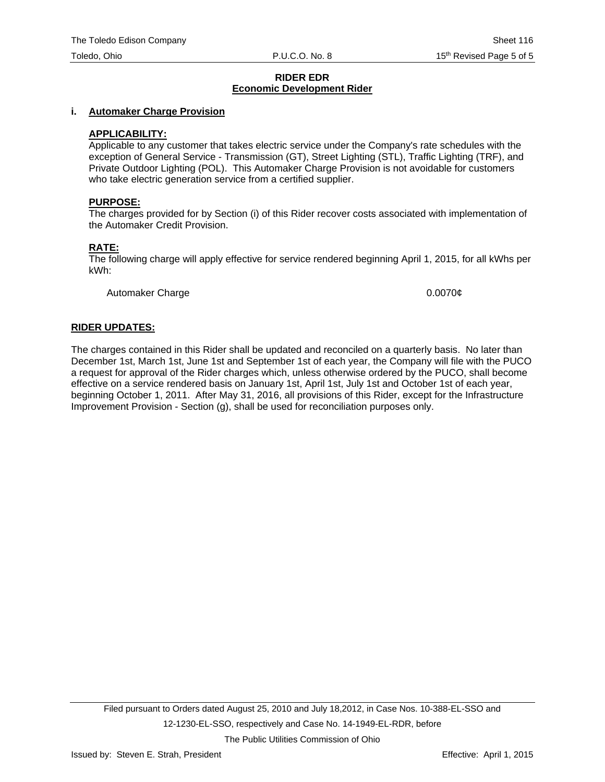#### **i. Automaker Charge Provision**

#### **APPLICABILITY:**

Applicable to any customer that takes electric service under the Company's rate schedules with the exception of General Service - Transmission (GT), Street Lighting (STL), Traffic Lighting (TRF), and Private Outdoor Lighting (POL). This Automaker Charge Provision is not avoidable for customers who take electric generation service from a certified supplier.

#### **PURPOSE:**

The charges provided for by Section (i) of this Rider recover costs associated with implementation of the Automaker Credit Provision.

#### **RATE:**

The following charge will apply effective for service rendered beginning April 1, 2015, for all kWhs per kWh:

Automaker Charge 0.0070¢

#### **RIDER UPDATES:**

The charges contained in this Rider shall be updated and reconciled on a quarterly basis. No later than December 1st, March 1st, June 1st and September 1st of each year, the Company will file with the PUCO a request for approval of the Rider charges which, unless otherwise ordered by the PUCO, shall become effective on a service rendered basis on January 1st, April 1st, July 1st and October 1st of each year, beginning October 1, 2011. After May 31, 2016, all provisions of this Rider, except for the Infrastructure Improvement Provision - Section (g), shall be used for reconciliation purposes only.